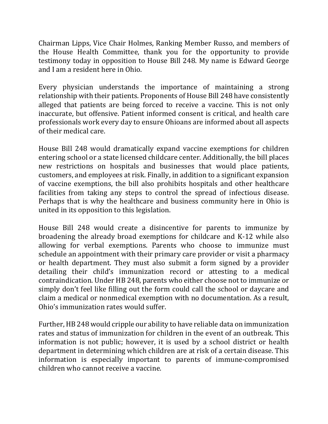Chairman Lipps, Vice Chair Holmes, Ranking Member Russo, and members of the House Health Committee, thank you for the opportunity to provide testimony today in opposition to House Bill 248. My name is Edward George and I am a resident here in Ohio.

Every physician understands the importance of maintaining a strong relationship with their patients. Proponents of House Bill 248 have consistently alleged that patients are being forced to receive a vaccine. This is not only inaccurate, but offensive. Patient informed consent is critical, and health care professionals work every day to ensure Ohioans are informed about all aspects of their medical care.

House Bill 248 would dramatically expand vaccine exemptions for children entering school or a state licensed childcare center. Additionally, the bill places new restrictions on hospitals and businesses that would place patients, customers, and employees at risk. Finally, in addition to a significant expansion of vaccine exemptions, the bill also prohibits hospitals and other healthcare facilities from taking any steps to control the spread of infectious disease. Perhaps that is why the healthcare and business community here in Ohio is united in its opposition to this legislation.

House Bill 248 would create a disincentive for parents to immunize by broadening the already broad exemptions for childcare and K-12 while also allowing for verbal exemptions. Parents who choose to immunize must schedule an appointment with their primary care provider or visit a pharmacy or health department. They must also submit a form signed by a provider detailing their child's immunization record or attesting to a medical contraindication. Under HB 248, parents who either choose not to immunize or simply don't feel like filling out the form could call the school or daycare and claim a medical or nonmedical exemption with no documentation. As a result, Ohio's immunization rates would suffer.

Further, HB 248 would cripple our ability to have reliable data on immunization rates and status of immunization for children in the event of an outbreak. This information is not public; however, it is used by a school district or health department in determining which children are at risk of a certain disease. This information is especially important to parents of immune-compromised children who cannot receive a vaccine.